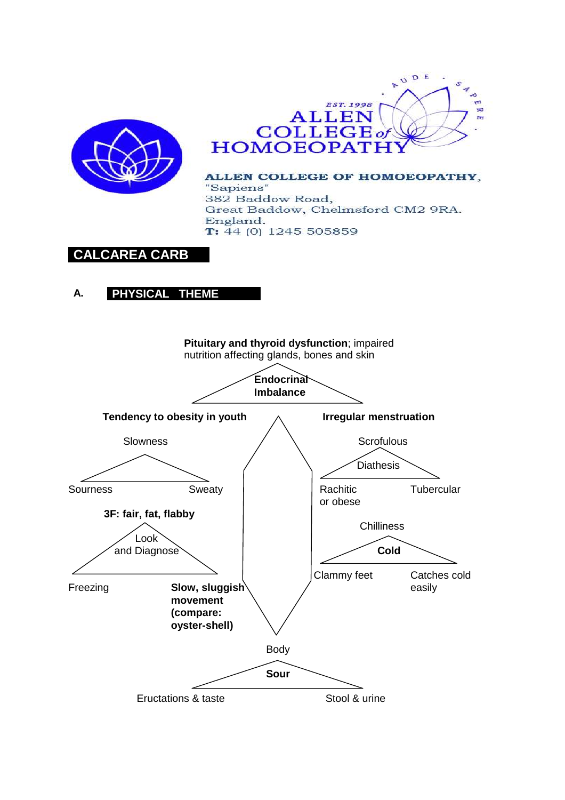



ALLEN COLLEGE OF HOMOEOPATHY, "Sapiens" 382 Baddow Road, Great Baddow, Chelmsford CM2 9RA. England.  $T: 44(0)$  1245 505859

# **CALCAREA CARB**

## **A. PHYSICAL THEME**

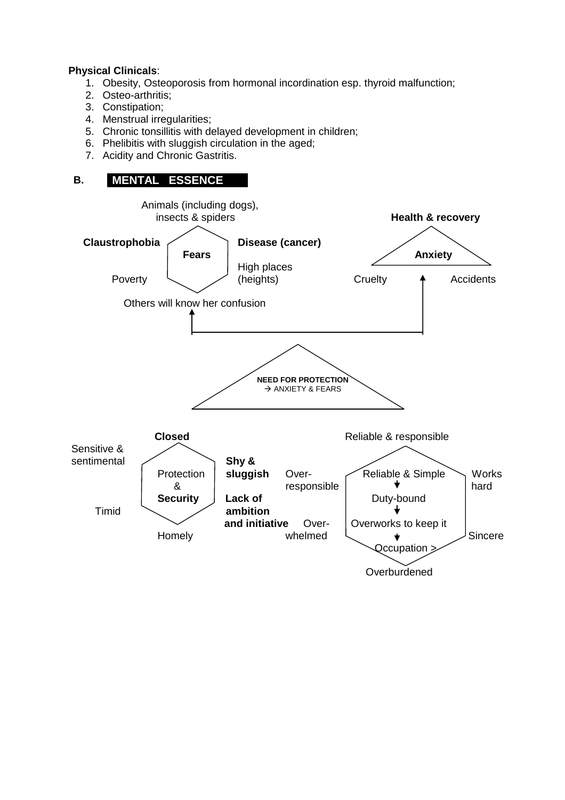### **Physical Clinicals**:

- 1. Obesity, Osteoporosis from hormonal incordination esp. thyroid malfunction;
- 2. Osteo-arthritis;
- 3. Constipation;
- 4. Menstrual irregularities;
- 5. Chronic tonsillitis with delayed development in children;
- 6. Phelibitis with sluggish circulation in the aged;
- 7. Acidity and Chronic Gastritis.

## **B. MENTAL ESSENCE**

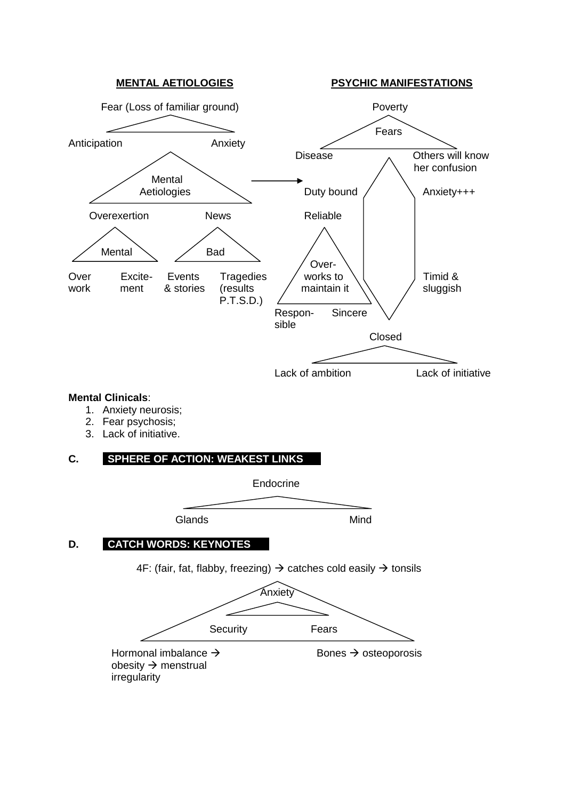